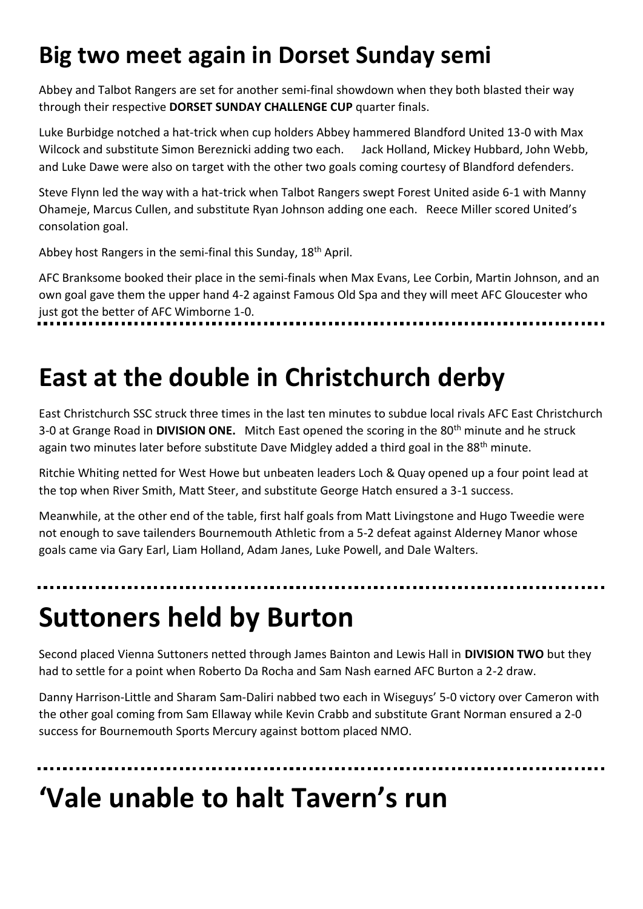### **Big two meet again in Dorset Sunday semi**

Abbey and Talbot Rangers are set for another semi-final showdown when they both blasted their way through their respective **DORSET SUNDAY CHALLENGE CUP** quarter finals.

Luke Burbidge notched a hat-trick when cup holders Abbey hammered Blandford United 13-0 with Max Wilcock and substitute Simon Bereznicki adding two each. Jack Holland, Mickey Hubbard, John Webb, and Luke Dawe were also on target with the other two goals coming courtesy of Blandford defenders.

Steve Flynn led the way with a hat-trick when Talbot Rangers swept Forest United aside 6-1 with Manny Ohameje, Marcus Cullen, and substitute Ryan Johnson adding one each. Reece Miller scored United's consolation goal.

Abbey host Rangers in the semi-final this Sunday, 18<sup>th</sup> April.

AFC Branksome booked their place in the semi-finals when Max Evans, Lee Corbin, Martin Johnson, and an own goal gave them the upper hand 4-2 against Famous Old Spa and they will meet AFC Gloucester who just got the better of AFC Wimborne 1-0.

## **East at the double in Christchurch derby**

East Christchurch SSC struck three times in the last ten minutes to subdue local rivals AFC East Christchurch 3-0 at Grange Road in **DIVISION ONE.** Mitch East opened the scoring in the 80th minute and he struck again two minutes later before substitute Dave Midgley added a third goal in the 88<sup>th</sup> minute.

Ritchie Whiting netted for West Howe but unbeaten leaders Loch & Quay opened up a four point lead at the top when River Smith, Matt Steer, and substitute George Hatch ensured a 3-1 success.

Meanwhile, at the other end of the table, first half goals from Matt Livingstone and Hugo Tweedie were not enough to save tailenders Bournemouth Athletic from a 5-2 defeat against Alderney Manor whose goals came via Gary Earl, Liam Holland, Adam Janes, Luke Powell, and Dale Walters.

# **Suttoners held by Burton**

Second placed Vienna Suttoners netted through James Bainton and Lewis Hall in **DIVISION TWO** but they had to settle for a point when Roberto Da Rocha and Sam Nash earned AFC Burton a 2-2 draw.

Danny Harrison-Little and Sharam Sam-Daliri nabbed two each in Wiseguys' 5-0 victory over Cameron with the other goal coming from Sam Ellaway while Kevin Crabb and substitute Grant Norman ensured a 2-0 success for Bournemouth Sports Mercury against bottom placed NMO.

## **'Vale unable to halt Tavern's run**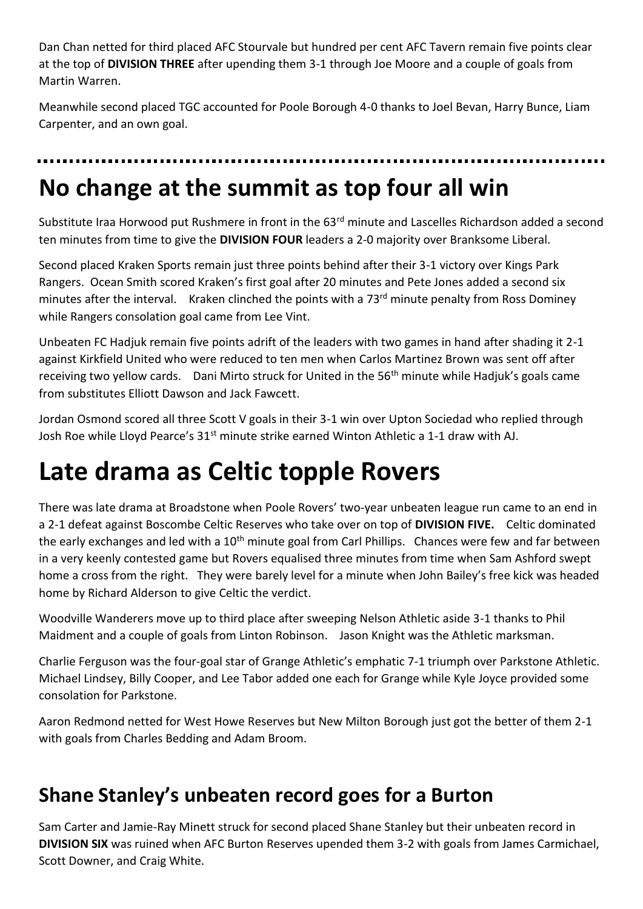Dan Chan netted for third placed AFC Stourvale but hundred per cent AFC Tavern remain five points clear at the top of **DIVISION THREE** after upending them 3-1 through Joe Moore and a couple of goals from Martin Warren.

Meanwhile second placed TGC accounted for Poole Borough 4-0 thanks to Joel Bevan, Harry Bunce, Liam Carpenter, and an own goal.

# **No change at the summit as top four all win**

Substitute Iraa Horwood put Rushmere in front in the 63<sup>rd</sup> minute and Lascelles Richardson added a second ten minutes from time to give the **DIVISION FOUR** leaders a 2-0 majority over Branksome Liberal.

Second placed Kraken Sports remain just three points behind after their 3-1 victory over Kings Park Rangers. Ocean Smith scored Kraken's first goal after 20 minutes and Pete Jones added a second six minutes after the interval. Kraken clinched the points with a 73<sup>rd</sup> minute penalty from Ross Dominey while Rangers consolation goal came from Lee Vint.

Unbeaten FC Hadjuk remain five points adrift of the leaders with two games in hand after shading it 2-1 against Kirkfield United who were reduced to ten men when Carlos Martinez Brown was sent off after receiving two yellow cards. Dani Mirto struck for United in the  $56<sup>th</sup>$  minute while Hadjuk's goals came from substitutes Elliott Dawson and Jack Fawcett.

Jordan Osmond scored all three Scott V goals in their 3-1 win over Upton Sociedad who replied through Josh Roe while Lloyd Pearce's 31<sup>st</sup> minute strike earned Winton Athletic a 1-1 draw with AJ.

## **Late drama as Celtic topple Rovers**

There was late drama at Broadstone when Poole Rovers' two-year unbeaten league run came to an end in a 2-1 defeat against Boscombe Celtic Reserves who take over on top of **DIVISION FIVE.** Celtic dominated the early exchanges and led with a 10<sup>th</sup> minute goal from Carl Phillips. Chances were few and far between in a very keenly contested game but Rovers equalised three minutes from time when Sam Ashford swept home a cross from the right. They were barely level for a minute when John Bailey's free kick was headed home by Richard Alderson to give Celtic the verdict.

Woodville Wanderers move up to third place after sweeping Nelson Athletic aside 3-1 thanks to Phil Maidment and a couple of goals from Linton Robinson. Jason Knight was the Athletic marksman.

Charlie Ferguson was the four-goal star of Grange Athletic's emphatic 7-1 triumph over Parkstone Athletic. Michael Lindsey, Billy Cooper, and Lee Tabor added one each for Grange while Kyle Joyce provided some consolation for Parkstone.

Aaron Redmond netted for West Howe Reserves but New Milton Borough just got the better of them 2-1 with goals from Charles Bedding and Adam Broom.

#### **Shane Stanley's unbeaten record goes for a Burton**

Sam Carter and Jamie-Ray Minett struck for second placed Shane Stanley but their unbeaten record in **DIVISION SIX** was ruined when AFC Burton Reserves upended them 3-2 with goals from James Carmichael, Scott Downer, and Craig White.